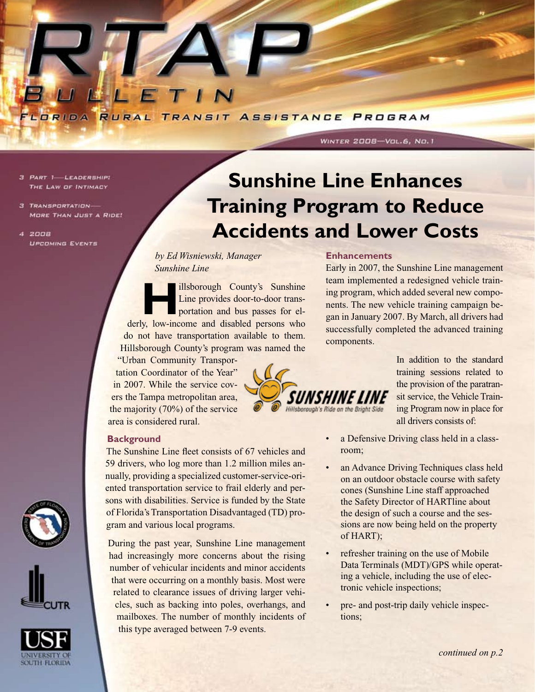

- 3 PART 1-LEADERSHIP: THE LAW OF INTIMACY
- 3 TRANSPORTATION-MORE THAN JUST A RIDE!
- $4200B$ **UPCOMING EVENTS**

## **Sunshine Line Enhances Training Program to Reduce Accidents and Lower Costs**

*by Ed Wisniewski, Manager Sunshine Line*

**Hillsborough County's Sunshine**<br>Line provides door-to-door trans-<br>portation and bus passes for el-Line provides door-to-door transportation and bus passes for elderly, low-income and disabled persons who do not have transportation available to them. Hillsborough County's program was named the

"Urban Community Transportation Coordinator of the Year" in 2007. While the service covers the Tampa metropolitan area, the majority (70%) of the service area is considered rural.

# Hillsborough's Ride on the Bright Side

## Early in 2007, the Sunshine Line management

WINTER 2008-Vol.6, No.1

**Enhancements**

team implemented a redesigned vehicle training program, which added several new components. The new vehicle training campaign began in January 2007. By March, all drivers had successfully completed the advanced training components.

> In addition to the standard training sessions related to the provision of the paratransit service, the Vehicle Training Program now in place for all drivers consists of:

**Background**

The Sunshine Line fleet consists of 67 vehicles and 59 drivers, who log more than 1.2 million miles annually, providing a specialized customer-service-oriented transportation service to frail elderly and persons with disabilities. Service is funded by the State of Florida's Transportation Disadvantaged (TD) program and various local programs.

During the past year, Sunshine Line management had increasingly more concerns about the rising number of vehicular incidents and minor accidents that were occurring on a monthly basis. Most were related to clearance issues of driving larger vehicles, such as backing into poles, overhangs, and mailboxes. The number of monthly incidents of this type averaged between 7-9 events.

- a Defensive Driving class held in a classroom;
- an Advance Driving Techniques class held on an outdoor obstacle course with safety cones (Sunshine Line staff approached the Safety Director of HARTline about the design of such a course and the sessions are now being held on the property of HART);
- refresher training on the use of Mobile Data Terminals (MDT)/GPS while operating a vehicle, including the use of electronic vehicle inspections;
- pre- and post-trip daily vehicle inspections;





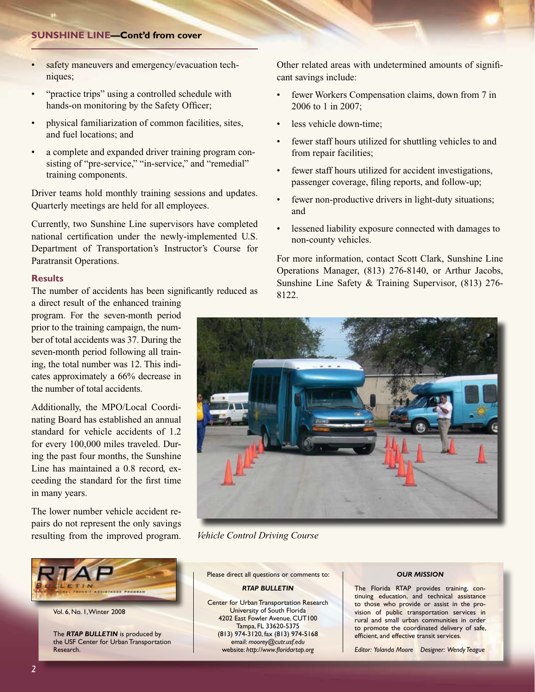#### **Sunshine Line—Cont'd from cover**

- safety maneuvers and emergency/evacuation techniques;
- "practice trips" using a controlled schedule with hands-on monitoring by the Safety Officer;
- physical familiarization of common facilities, sites, and fuel locations; and
- a complete and expanded driver training program consisting of "pre-service," "in-service," and "remedial" training components.

Driver teams hold monthly training sessions and updates. Quarterly meetings are held for all employees.

Currently, two Sunshine Line supervisors have completed national certification under the newly-implemented U.S. Department of Transportation's Instructor's Course for Paratransit Operations.

#### **Results**

The number of accidents has been significantly reduced as a direct result of the enhanced training

program. For the seven-month period prior to the training campaign, the number of total accidents was 37. During the seven-month period following all training, the total number was 12. This indicates approximately a 66% decrease in the number of total accidents.

Additionally, the MPO/Local Coordinating Board has established an annual standard for vehicle accidents of 1.2 for every 100,000 miles traveled. During the past four months, the Sunshine Line has maintained a 0.8 record, exceeding the standard for the first time in many years.

The lower number vehicle accident repairs do not represent the only savings resulting from the improved program.



Vol. 6, No. 1, Winter 2008

The *RTAP BULLETIN* is produced by the USF Center for Urban Transportation Research.

Other related areas with undetermined amounts of significant savings include:

- fewer Workers Compensation claims, down from 7 in 2006 to 1 in 2007;
- less vehicle down-time;
- fewer staff hours utilized for shuttling vehicles to and from repair facilities;
- fewer staff hours utilized for accident investigations, passenger coverage, filing reports, and follow-up;
- fewer non-productive drivers in light-duty situations; and
- lessened liability exposure connected with damages to non-county vehicles.

For more information, contact Scott Clark, Sunshine Line Operations Manager, (813) 276-8140, or Arthur Jacobs, Sunshine Line Safety & Training Supervisor, (813) 276- 8122.



*Vehicle Control Driving Course*

Please direct all questions or comments to:

## *RTAP BULLETIN*

Center for Urban Transportation Research University of South Florida 4202 East Fowler Avenue, CUT100 Tampa, FL 33620-5375 (813) 974-3120, fax (813) 974-5168 email: *moorey@cutr.usf.edu* website: *http://www.floridartap.org*

## *OUR MISSION*

The Florida RTAP provides training, continuing education, and technical assistance to those who provide or assist in the provision of public transportation services in rural and small urban communities in order to promote the coordinated delivery of safe, efficient, and effective transit services.

*Editor: Yolanda Moore Designer: Wendy Teague*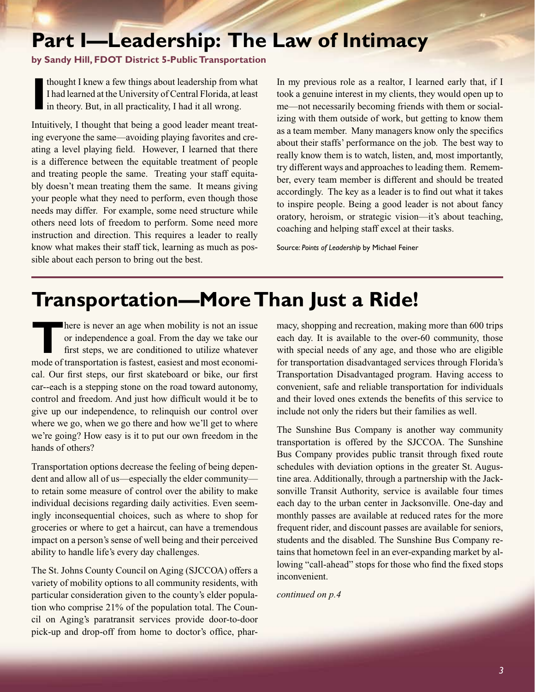## **Part I—Leadership: The Law of Intimacy**

## **by Sandy Hill, FDOT District 5-Public Transportation**

**I** thought I knew a few things about leadership from what I had learned at the University of Central Florida, at least in theory. But, in all practicality, I had it all wrong.

Intuitively, I thought that being a good leader meant treating everyone the same—avoiding playing favorites and creating a level playing field. However, I learned that there is a difference between the equitable treatment of people and treating people the same. Treating your staff equitably doesn't mean treating them the same. It means giving your people what they need to perform, even though those needs may differ. For example, some need structure while others need lots of freedom to perform. Some need more instruction and direction. This requires a leader to really know what makes their staff tick, learning as much as possible about each person to bring out the best.

In my previous role as a realtor, I learned early that, if I took a genuine interest in my clients, they would open up to me—not necessarily becoming friends with them or socializing with them outside of work, but getting to know them as a team member. Many managers know only the specifics about their staffs' performance on the job. The best way to really know them is to watch, listen, and, most importantly, try different ways and approaches to leading them. Remember, every team member is different and should be treated accordingly. The key as a leader is to find out what it takes to inspire people. Being a good leader is not about fancy oratory, heroism, or strategic vision—it's about teaching, coaching and helping staff excel at their tasks.

Source: *Points of Leadership* by Michael Feiner

## **Transportation—More Than Just a Ride!**

**There is never an age when mobility is not an issue** or independence a goal. From the day we take our first steps, we are conditioned to utilize whatever mode of transportation is fastest, easiest and most economical. Our first steps, our first skateboard or bike, our first car--each is a stepping stone on the road toward autonomy, control and freedom. And just how difficult would it be to give up our independence, to relinquish our control over where we go, when we go there and how we'll get to where we're going? How easy is it to put our own freedom in the hands of others?

Transportation options decrease the feeling of being dependent and allow all of us—especially the elder community to retain some measure of control over the ability to make individual decisions regarding daily activities. Even seemingly inconsequential choices, such as where to shop for groceries or where to get a haircut, can have a tremendous impact on a person's sense of well being and their perceived ability to handle life's every day challenges.

The St. Johns County Council on Aging (SJCCOA) offers a variety of mobility options to all community residents, with particular consideration given to the county's elder population who comprise 21% of the population total. The Council on Aging's paratransit services provide door-to-door pick-up and drop-off from home to doctor's office, pharmacy, shopping and recreation, making more than 600 trips each day. It is available to the over-60 community, those with special needs of any age, and those who are eligible for transportation disadvantaged services through Florida's Transportation Disadvantaged program. Having access to convenient, safe and reliable transportation for individuals and their loved ones extends the benefits of this service to include not only the riders but their families as well.

The Sunshine Bus Company is another way community transportation is offered by the SJCCOA. The Sunshine Bus Company provides public transit through fixed route schedules with deviation options in the greater St. Augustine area. Additionally, through a partnership with the Jacksonville Transit Authority, service is available four times each day to the urban center in Jacksonville. One-day and monthly passes are available at reduced rates for the more frequent rider, and discount passes are available for seniors, students and the disabled. The Sunshine Bus Company retains that hometown feel in an ever-expanding market by allowing "call-ahead" stops for those who find the fixed stops inconvenient.

*continued on p.4*